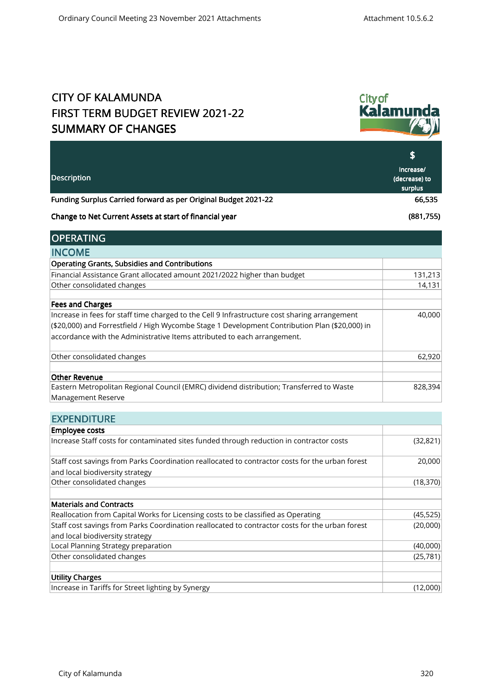## CITY OF KALAMUNDA FIRST TERM BUDGET REVIEW 2021-22 SUMMARY OF CHANGES



| <b>Description</b>                                                                             | S<br>Increase/<br>(decrease) to<br>surplus |
|------------------------------------------------------------------------------------------------|--------------------------------------------|
| Funding Surplus Carried forward as per Original Budget 2021-22                                 | 66,535                                     |
| Change to Net Current Assets at start of financial year                                        | (881,755)                                  |
| <b>OPERATING</b>                                                                               |                                            |
| <b>INCOME</b>                                                                                  |                                            |
| <b>Operating Grants, Subsidies and Contributions</b>                                           |                                            |
| Financial Assistance Grant allocated amount 2021/2022 higher than budget                       | 131,213                                    |
| Other consolidated changes                                                                     | 14,131                                     |
| <b>Fees and Charges</b>                                                                        |                                            |
| Increase in fees for staff time charged to the Cell 9 Infrastructure cost sharing arrangement  | 40,000                                     |
| (\$20,000) and Forrestfield / High Wycombe Stage 1 Development Contribution Plan (\$20,000) in |                                            |
| accordance with the Administrative Items attributed to each arrangement.                       |                                            |
| Other consolidated changes                                                                     | 62,920                                     |
| <b>Other Revenue</b>                                                                           |                                            |
| Eastern Metropolitan Regional Council (EMRC) dividend distribution; Transferred to Waste       | 828,394                                    |
| Management Reserve                                                                             |                                            |

| <b>EXPENDITURE</b>                                                                              |           |
|-------------------------------------------------------------------------------------------------|-----------|
| <b>Employee costs</b>                                                                           |           |
| Increase Staff costs for contaminated sites funded through reduction in contractor costs        | (32, 821) |
| Staff cost savings from Parks Coordination reallocated to contractor costs for the urban forest | 20,000    |
| and local biodiversity strategy                                                                 |           |
| Other consolidated changes                                                                      | (18, 370) |
| <b>Materials and Contracts</b>                                                                  |           |
| Reallocation from Capital Works for Licensing costs to be classified as Operating               | (45, 525) |
| Staff cost savings from Parks Coordination reallocated to contractor costs for the urban forest | (20,000)  |
| and local biodiversity strategy                                                                 |           |
| Local Planning Strategy preparation                                                             | (40,000)  |
| Other consolidated changes                                                                      | (25, 781) |
| <b>Utility Charges</b>                                                                          |           |
| Increase in Tariffs for Street lighting by Synergy                                              | (12,000)  |